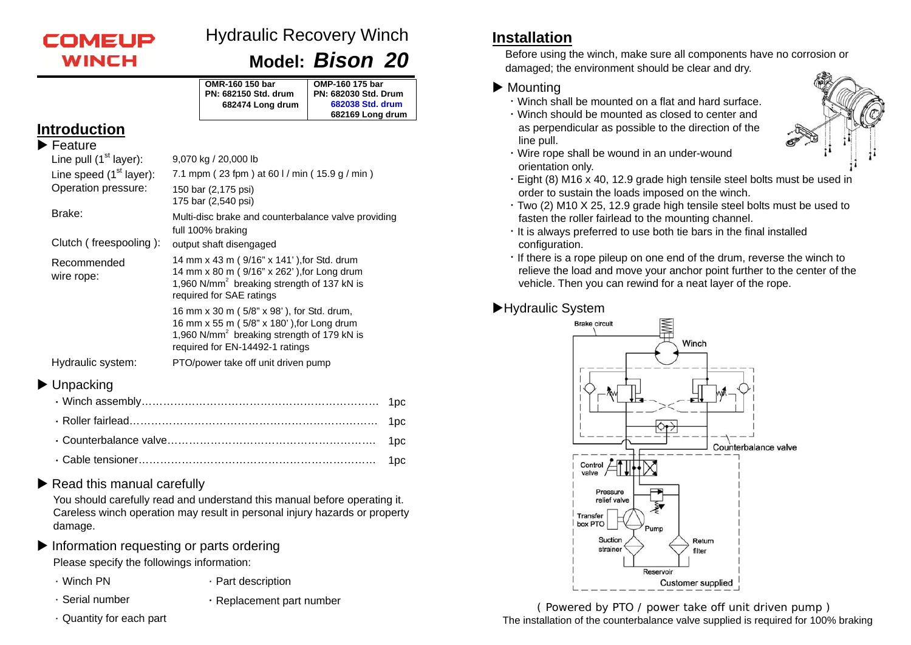

# Hydraulic Recovery Winch

**Model:** *Bison 20*

|                                                                   |                                                                                                                                                                                     | OMR-160 150 bar<br><b>PN: 682150 Std. drum</b><br>682474 Long drum | OMP-160 175 bar<br><b>PN: 682030 Std. Drum</b><br>682038 Std. drum<br>682169 Long drum                                                             |  |  |
|-------------------------------------------------------------------|-------------------------------------------------------------------------------------------------------------------------------------------------------------------------------------|--------------------------------------------------------------------|----------------------------------------------------------------------------------------------------------------------------------------------------|--|--|
| <b>Introduction</b>                                               |                                                                                                                                                                                     |                                                                    |                                                                                                                                                    |  |  |
| $\blacktriangleright$ Feature                                     |                                                                                                                                                                                     |                                                                    |                                                                                                                                                    |  |  |
| Line pull $(1st layer)$ :                                         | 9,070 kg / 20,000 lb                                                                                                                                                                |                                                                    |                                                                                                                                                    |  |  |
| Line speed (1 <sup>st</sup> layer):                               | 7.1 mpm (23 fpm) at 60 l / min (15.9 g / min)                                                                                                                                       |                                                                    |                                                                                                                                                    |  |  |
| Operation pressure:                                               | 150 bar (2,175 psi)<br>175 bar (2,540 psi)                                                                                                                                          |                                                                    |                                                                                                                                                    |  |  |
| Brake:                                                            | Multi-disc brake and counterbalance valve providing<br>full 100% braking                                                                                                            |                                                                    |                                                                                                                                                    |  |  |
| Clutch (freespooling):                                            |                                                                                                                                                                                     | output shaft disengaged                                            |                                                                                                                                                    |  |  |
| Recommended<br>wire rope:                                         |                                                                                                                                                                                     | required for SAE ratings                                           | 14 mm x 43 m (9/16" x 141'), for Std. drum<br>14 mm x 80 m (9/16" x 262'), for Long drum<br>1,960 N/mm <sup>2</sup> breaking strength of 137 kN is |  |  |
|                                                                   | 16 mm x 30 m (5/8" x 98'), for Std. drum,<br>16 mm x 55 m (5/8" x 180'), for Long drum<br>1,960 N/mm <sup>2</sup> breaking strength of 179 kN is<br>required for EN-14492-1 ratings |                                                                    |                                                                                                                                                    |  |  |
| Hydraulic system:                                                 |                                                                                                                                                                                     | PTO/power take off unit driven pump                                |                                                                                                                                                    |  |  |
| Unpacking<br>$1 \wedge P$ and $P$ and $P$ and $P$ and $P$ and $P$ |                                                                                                                                                                                     |                                                                    |                                                                                                                                                    |  |  |

#### Read this manual carefully

You should carefully read and understand this manual before operating it. Careless winch operation may result in personal injury hazards or property damage.

Information requesting or parts ordering

Please specify the followings information:

- 
- . Winch PN . Part description
- 
- . Serial number . The replacement part number
- $\cdot$  Quantity for each part

## **Installation**

Before using the winch, make sure all components have no corrosion or damaged; the environment should be clear and dry.

#### $\blacktriangleright$  Mounting

- .Winch shall be mounted on a flat and hard surface.
- .Winch should be mounted as closed to center and as perpendicular as possible to the direction of the line pull.



- .Wire rope shall be wound in an under-wound orientation only.
- .Eight (8) M16 x 40, 12.9 grade high tensile steel bolts must be used in order to sustain the loads imposed on the winch.
- .Two (2) M10 X 25, 12.9 grade high tensile steel bolts must be used to fasten the roller fairlead to the mounting channel.
- $\cdot$  It is always preferred to use both tie bars in the final installed configuration.
- .If there is a rope pileup on one end of the drum, reverse the winch to relieve the load and move your anchor point further to the center of the vehicle. Then you can rewind for a neat layer of the rope.

#### ▶Hydraulic System



( Powered by PTO / power take off unit driven pump ) The installation of the counterbalance valve supplied is required for 100% braking